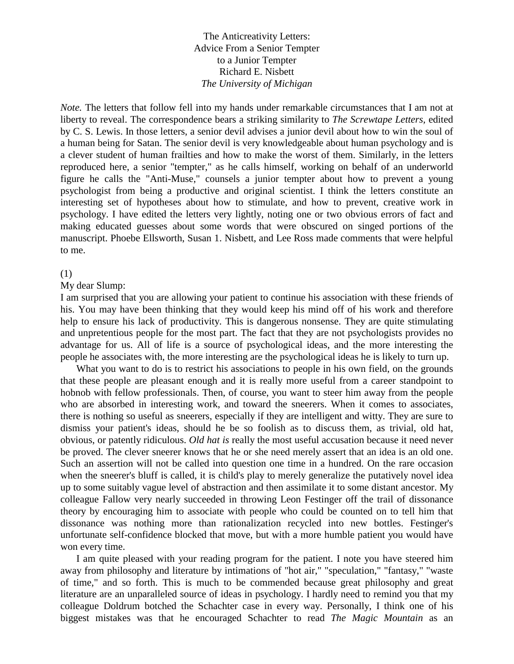The Anticreativity Letters: Advice From a Senior Tempter to a Junior Tempter Richard E. Nisbett *The University of Michigan* 

*Note.* The letters that follow fell into my hands under remarkable circumstances that I am not at liberty to reveal. The correspondence bears a striking similarity to *The Screwtape Letters,* edited by C. S. Lewis. In those letters, a senior devil advises a junior devil about how to win the soul of a human being for Satan. The senior devil is very knowledgeable about human psychology and is a clever student of human frailties and how to make the worst of them. Similarly, in the letters reproduced here, a senior "tempter," as he calls himself, working on behalf of an underworld figure he calls the "Anti-Muse," counsels a junior tempter about how to prevent a young psychologist from being a productive and original scientist. I think the letters constitute an interesting set of hypotheses about how to stimulate, and how to prevent, creative work in psychology. I have edited the letters very lightly, noting one or two obvious errors of fact and making educated guesses about some words that were obscured on singed portions of the manuscript. Phoebe Ellsworth, Susan 1. Nisbett, and Lee Ross made comments that were helpful to me.

#### (1)

#### My dear Slump:

I am surprised that you are allowing your patient to continue his association with these friends of his. You may have been thinking that they would keep his mind off of his work and therefore help to ensure his lack of productivity. This is dangerous nonsense. They are quite stimulating and unpretentious people for the most part. The fact that they are not psychologists provides no advantage for us. All of life is a source of psychological ideas, and the more interesting the people he associates with, the more interesting are the psychological ideas he is likely to turn up.

What you want to do is to restrict his associations to people in his own field, on the grounds that these people are pleasant enough and it is really more useful from a career standpoint to hobnob with fellow professionals. Then, of course, you want to steer him away from the people who are absorbed in interesting work, and toward the sneerers. When it comes to associates, there is nothing so useful as sneerers, especially if they are intelligent and witty. They are sure to dismiss your patient's ideas, should he be so foolish as to discuss them, as trivial, old hat, obvious, or patently ridiculous. *Old hat is* really the most useful accusation because it need never be proved. The clever sneerer knows that he or she need merely assert that an idea is an old one. Such an assertion will not be called into question one time in a hundred. On the rare occasion when the sneerer's bluff is called, it is child's play to merely generalize the putatively novel idea up to some suitably vague level of abstraction and then assimilate it to some distant ancestor. My colleague Fallow very nearly succeeded in throwing Leon Festinger off the trail of dissonance theory by encouraging him to associate with people who could be counted on to tell him that dissonance was nothing more than rationalization recycled into new bottles. Festinger's unfortunate self-confidence blocked that move, but with a more humble patient you would have won every time.

I am quite pleased with your reading program for the patient. I note you have steered him away from philosophy and literature by intimations of "hot air," "speculation," "fantasy," "waste of time," and so forth. This is much to be commended because great philosophy and great literature are an unparalleled source of ideas in psychology. I hardly need to remind you that my colleague Doldrum botched the Schachter case in every way. Personally, I think one of his biggest mistakes was that he encouraged Schachter to read *The Magic Mountain* as an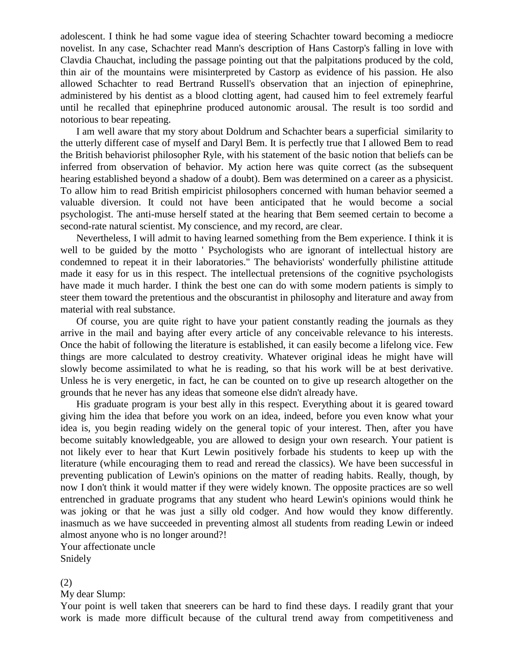adolescent. I think he had some vague idea of steering Schachter toward becoming a mediocre novelist. In any case, Schachter read Mann's description of Hans Castorp's falling in love with Clavdia Chauchat, including the passage pointing out that the palpitations produced by the cold, thin air of the mountains were misinterpreted by Castorp as evidence of his passion. He also allowed Schachter to read Bertrand Russell's observation that an injection of epinephrine, administered by his dentist as a blood clotting agent, had caused him to feel extremely fearful until he recalled that epinephrine produced autonomic arousal. The result is too sordid and notorious to bear repeating.

I am well aware that my story about Doldrum and Schachter bears a superficial similarity to the utterly different case of myself and Daryl Bem. It is perfectly true that I allowed Bem to read the British behaviorist philosopher Ryle, with his statement of the basic notion that beliefs can be inferred from observation of behavior. My action here was quite correct (as the subsequent hearing established beyond a shadow of a doubt). Bem was determined on a career as a physicist. To allow him to read British empiricist philosophers concerned with human behavior seemed a valuable diversion. It could not have been anticipated that he would become a social psychologist. The anti-muse herself stated at the hearing that Bem seemed certain to become a second-rate natural scientist. My conscience, and my record, are clear.

Nevertheless, I will admit to having learned something from the Bem experience. I think it is well to be guided by the motto ' Psychologists who are ignorant of intellectual history are condemned to repeat it in their laboratories." The behaviorists' wonderfully philistine attitude made it easy for us in this respect. The intellectual pretensions of the cognitive psychologists have made it much harder. I think the best one can do with some modern patients is simply to steer them toward the pretentious and the obscurantist in philosophy and literature and away from material with real substance.

Of course, you are quite right to have your patient constantly reading the journals as they arrive in the mail and baying after every article of any conceivable relevance to his interests. Once the habit of following the literature is established, it can easily become a lifelong vice. Few things are more calculated to destroy creativity. Whatever original ideas he might have will slowly become assimilated to what he is reading, so that his work will be at best derivative. Unless he is very energetic, in fact, he can be counted on to give up research altogether on the grounds that he never has any ideas that someone else didn't already have.

His graduate program is your best ally in this respect. Everything about it is geared toward giving him the idea that before you work on an idea, indeed, before you even know what your idea is, you begin reading widely on the general topic of your interest. Then, after you have become suitably knowledgeable, you are allowed to design your own research. Your patient is not likely ever to hear that Kurt Lewin positively forbade his students to keep up with the literature (while encouraging them to read and reread the classics). We have been successful in preventing publication of Lewin's opinions on the matter of reading habits. Really, though, by now I don't think it would matter if they were widely known. The opposite practices are so well entrenched in graduate programs that any student who heard Lewin's opinions would think he was joking or that he was just a silly old codger. And how would they know differently. inasmuch as we have succeeded in preventing almost all students from reading Lewin or indeed almost anyone who is no longer around?!

Your affectionate uncle Snidely

#### (2)

My dear Slump:

Your point is well taken that sneerers can be hard to find these days. I readily grant that your work is made more difficult because of the cultural trend away from competitiveness and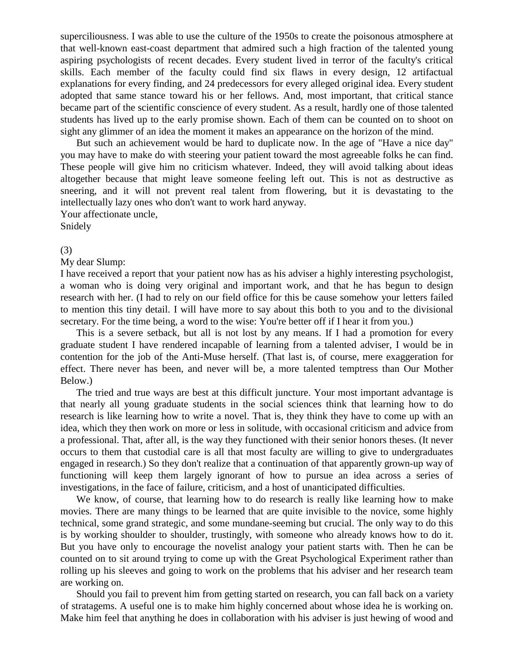superciliousness. I was able to use the culture of the 1950s to create the poisonous atmosphere at that well-known east-coast department that admired such a high fraction of the talented young aspiring psychologists of recent decades. Every student lived in terror of the faculty's critical skills. Each member of the faculty could find six flaws in every design, 12 artifactual explanations for every finding, and 24 predecessors for every alleged original idea. Every student adopted that same stance toward his or her fellows. And, most important, that critical stance became part of the scientific conscience of every student. As a result, hardly one of those talented students has lived up to the early promise shown. Each of them can be counted on to shoot on sight any glimmer of an idea the moment it makes an appearance on the horizon of the mind.

But such an achievement would be hard to duplicate now. In the age of "Have a nice day" you may have to make do with steering your patient toward the most agreeable folks he can find. These people will give him no criticism whatever. Indeed, they will avoid talking about ideas altogether because that might leave someone feeling left out. This is not as destructive as sneering, and it will not prevent real talent from flowering, but it is devastating to the intellectually lazy ones who don't want to work hard anyway.

Your affectionate uncle,

# Snidely

#### (3)

My dear Slump:

I have received a report that your patient now has as his adviser a highly interesting psychologist, a woman who is doing very original and important work, and that he has begun to design research with her. (I had to rely on our field office for this be cause somehow your letters failed to mention this tiny detail. I will have more to say about this both to you and to the divisional secretary. For the time being, a word to the wise: You're better off if I hear it from you.)

This is a severe setback, but all is not lost by any means. If I had a promotion for every graduate student I have rendered incapable of learning from a talented adviser, I would be in contention for the job of the Anti-Muse herself. (That last is, of course, mere exaggeration for effect. There never has been, and never will be, a more talented temptress than Our Mother Below.)

The tried and true ways are best at this difficult juncture. Your most important advantage is that nearly all young graduate students in the social sciences think that learning how to do research is like learning how to write a novel. That is, they think they have to come up with an idea, which they then work on more or less in solitude, with occasional criticism and advice from a professional. That, after all, is the way they functioned with their senior honors theses. (It never occurs to them that custodial care is all that most faculty are willing to give to undergraduates engaged in research.) So they don't realize that a continuation of that apparently grown-up way of functioning will keep them largely ignorant of how to pursue an idea across a series of investigations, in the face of failure, criticism, and a host of unanticipated difficulties.

We know, of course, that learning how to do research is really like learning how to make movies. There are many things to be learned that are quite invisible to the novice, some highly technical, some grand strategic, and some mundane-seeming but crucial. The only way to do this is by working shoulder to shoulder, trustingly, with someone who already knows how to do it. But you have only to encourage the novelist analogy your patient starts with. Then he can be counted on to sit around trying to come up with the Great Psychological Experiment rather than rolling up his sleeves and going to work on the problems that his adviser and her research team are working on.

Should you fail to prevent him from getting started on research, you can fall back on a variety of stratagems. A useful one is to make him highly concerned about whose idea he is working on. Make him feel that anything he does in collaboration with his adviser is just hewing of wood and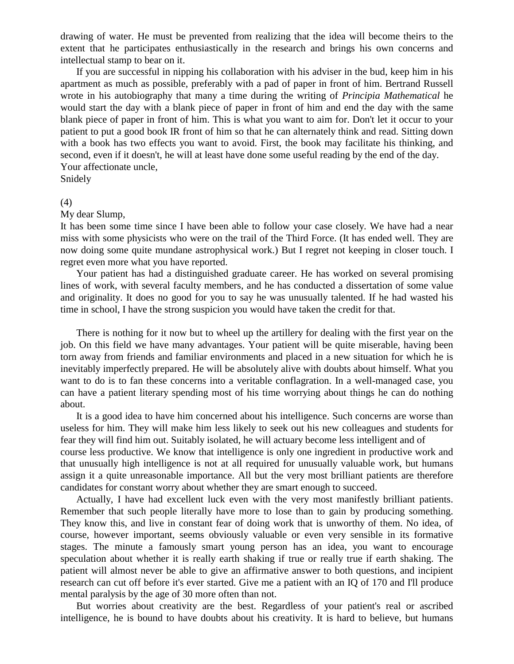drawing of water. He must be prevented from realizing that the idea will become theirs to the extent that he participates enthusiastically in the research and brings his own concerns and intellectual stamp to bear on it.

If you are successful in nipping his collaboration with his adviser in the bud, keep him in his apartment as much as possible, preferably with a pad of paper in front of him. Bertrand Russell wrote in his autobiography that many a time during the writing of *Principia Mathematical* he would start the day with a blank piece of paper in front of him and end the day with the same blank piece of paper in front of him. This is what you want to aim for. Don't let it occur to your patient to put a good book IR front of him so that he can alternately think and read. Sitting down with a book has two effects you want to avoid. First, the book may facilitate his thinking, and second, even if it doesn't, he will at least have done some useful reading by the end of the day. Your affectionate uncle,

Snidely

#### (4)

My dear Slump,

It has been some time since I have been able to follow your case closely. We have had a near miss with some physicists who were on the trail of the Third Force. (It has ended well. They are now doing some quite mundane astrophysical work.) But I regret not keeping in closer touch. I regret even more what you have reported.

Your patient has had a distinguished graduate career. He has worked on several promising lines of work, with several faculty members, and he has conducted a dissertation of some value and originality. It does no good for you to say he was unusually talented. If he had wasted his time in school, I have the strong suspicion you would have taken the credit for that.

There is nothing for it now but to wheel up the artillery for dealing with the first year on the job. On this field we have many advantages. Your patient will be quite miserable, having been torn away from friends and familiar environments and placed in a new situation for which he is inevitably imperfectly prepared. He will be absolutely alive with doubts about himself. What you want to do is to fan these concerns into a veritable conflagration. In a well-managed case, you can have a patient literary spending most of his time worrying about things he can do nothing about.

It is a good idea to have him concerned about his intelligence. Such concerns are worse than useless for him. They will make him less likely to seek out his new colleagues and students for fear they will find him out. Suitably isolated, he will actuary become less intelligent and of

course less productive. We know that intelligence is only one ingredient in productive work and that unusually high intelligence is not at all required for unusually valuable work, but humans assign it a quite unreasonable importance. All but the very most brilliant patients are therefore candidates for constant worry about whether they are smart enough to succeed.

Actually, I have had excellent luck even with the very most manifestly brilliant patients. Remember that such people literally have more to lose than to gain by producing something. They know this, and live in constant fear of doing work that is unworthy of them. No idea, of course, however important, seems obviously valuable or even very sensible in its formative stages. The minute a famously smart young person has an idea, you want to encourage speculation about whether it is really earth shaking if true or really true if earth shaking. The patient will almost never be able to give an affirmative answer to both questions, and incipient research can cut off before it's ever started. Give me a patient with an IQ of 170 and I'll produce mental paralysis by the age of 30 more often than not.

But worries about creativity are the best. Regardless of your patient's real or ascribed intelligence, he is bound to have doubts about his creativity. It is hard to believe, but humans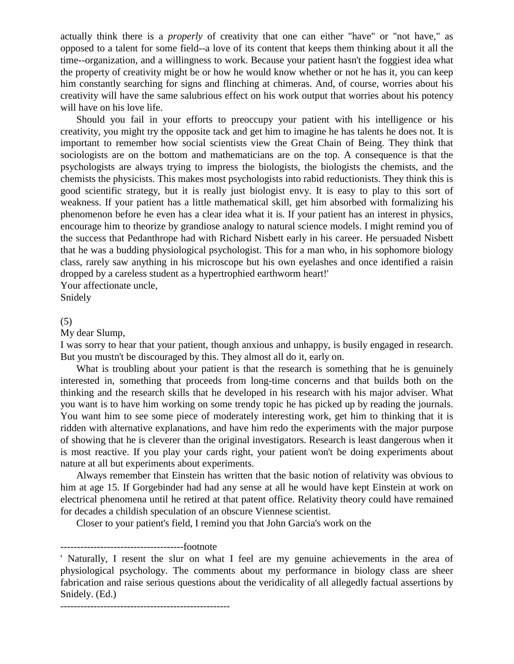actually think there is a *properly* of creativity that one can either "have" or "not have," as opposed to a talent for some field--a love of its content that keeps them thinking about it all the time--organization, and a willingness to work. Because your patient hasn't the foggiest idea what the property of creativity might be or how he would know whether or not he has it, you can keep him constantly searching for signs and flinching at chimeras. And, of course, worries about his creativity will have the same salubrious effect on his work output that worries about his potency will have on his love life.

Should you fail in your efforts to preoccupy your patient with his intelligence or his creativity, you might try the opposite tack and get him to imagine he has talents he does not. It is important to remember how social scientists view the Great Chain of Being. They think that sociologists are on the bottom and mathematicians are on the top. A consequence is that the psychologists are always trying to impress the biologists, the biologists the chemists, and the chemists the physicists. This makes most psychologists into rabid reductionists. They think this is good scientific strategy, but it is really just biologist envy. It is easy to play to this sort of weakness. If your patient has a little mathematical skill, get him absorbed with formalizing his phenomenon before he even has a clear idea what it is. If your patient has an interest in physics, encourage him to theorize by grandiose analogy to natural science models. I might remind you of the success that Pedanthrope had with Richard Nisbett early in his career. He persuaded Nisbett that he was a budding physiological psychologist. This for a man who, in his sophomore biology class, rarely saw anything in his microscope but his own eyelashes and once identified a raisin dropped by a careless student as a hypertrophied earthworm heart!'

Your affectionate uncle,

Snidely

#### (5)

My dear Slump,

I was sorry to hear that your patient, though anxious and unhappy, is busily engaged in research. But you mustn't be discouraged by this. They almost all do it, early on.

What is troubling about your patient is that the research is something that he is genuinely interested in, something that proceeds from long-time concerns and that builds both on the thinking and the research skills that he developed in his research with his major adviser. What you want is to have him working on some trendy topic he has picked up by reading the journals. You want him to see some piece of moderately interesting work, get him to thinking that it is ridden with alternative explanations, and have him redo the experiments with the major purpose of showing that he is cleverer than the original investigators. Research is least dangerous when it is most reactive. If you play your cards right, your patient won't be doing experiments about nature at all but experiments about experiments.

Always remember that Einstein has written that the basic notion of relativity was obvious to him at age 15. If Gorgebinder had had any sense at all he would have kept Einstein at work on electrical phenomena until he retired at that patent office. Relativity theory could have remained for decades a childish speculation of an obscure Viennese scientist.

Closer to your patient's field, I remind you that John Garcia's work on the

## -------------------------------------footnote

---------------------------------------------------

<sup>&#</sup>x27; Naturally, I resent the slur on what I feel are my genuine achievements in the area of physiological psychology. The comments about my performance in biology class are sheer fabrication and raise serious questions about the veridicality of all allegedly factual assertions by Snidely. (Ed.)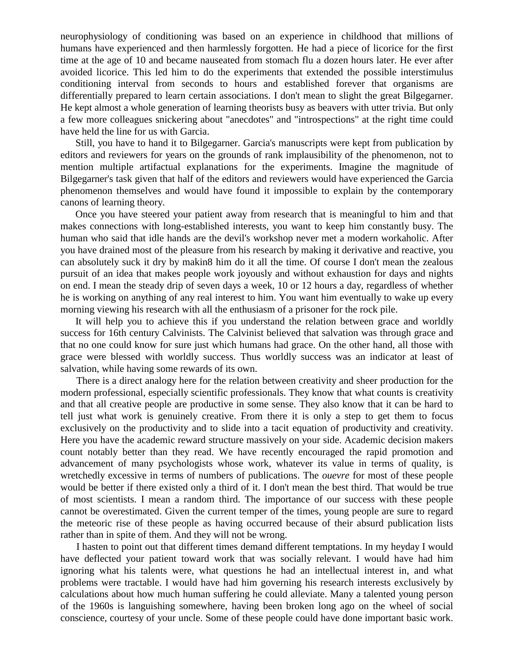neurophysiology of conditioning was based on an experience in childhood that millions of humans have experienced and then harmlessly forgotten. He had a piece of licorice for the first time at the age of 10 and became nauseated from stomach flu a dozen hours later. He ever after avoided licorice. This led him to do the experiments that extended the possible interstimulus conditioning interval from seconds to hours and established forever that organisms are differentially prepared to learn certain associations. I don't mean to slight the great Bilgegarner. He kept almost a whole generation of learning theorists busy as beavers with utter trivia. But only a few more colleagues snickering about "anecdotes" and "introspections" at the right time could have held the line for us with Garcia.

Still, you have to hand it to Bilgegarner. Garcia's manuscripts were kept from publication by editors and reviewers for years on the grounds of rank implausibility of the phenomenon, not to mention multiple artifactual explanations for the experiments. Imagine the magnitude of Bilgegarner's task given that half of the editors and reviewers would have experienced the Garcia phenomenon themselves and would have found it impossible to explain by the contemporary canons of learning theory.

Once you have steered your patient away from research that is meaningful to him and that makes connections with long-established interests, you want to keep him constantly busy. The human who said that idle hands are the devil's workshop never met a modern workaholic. After you have drained most of the pleasure from his research by making it derivative and reactive, you can absolutely suck it dry by makin8 him do it all the time. Of course I don't mean the zealous pursuit of an idea that makes people work joyously and without exhaustion for days and nights on end. I mean the steady drip of seven days a week, 10 or 12 hours a day, regardless of whether he is working on anything of any real interest to him. You want him eventually to wake up every morning viewing his research with all the enthusiasm of a prisoner for the rock pile.

It will help you to achieve this if you understand the relation between grace and worldly success for 16th century Calvinists. The Calvinist believed that salvation was through grace and that no one could know for sure just which humans had grace. On the other hand, all those with grace were blessed with worldly success. Thus worldly success was an indicator at least of salvation, while having some rewards of its own.

There is a direct analogy here for the relation between creativity and sheer production for the modern professional, especially scientific professionals. They know that what counts is creativity and that all creative people are productive in some sense. They also know that it can be hard to tell just what work is genuinely creative. From there it is only a step to get them to focus exclusively on the productivity and to slide into a tacit equation of productivity and creativity. Here you have the academic reward structure massively on your side. Academic decision makers count notably better than they read. We have recently encouraged the rapid promotion and advancement of many psychologists whose work, whatever its value in terms of quality, is wretchedly excessive in terms of numbers of publications. The *ouevre* for most of these people would be better if there existed only a third of it. I don't mean the best third. That would be true of most scientists. I mean a random third. The importance of our success with these people cannot be overestimated. Given the current temper of the times, young people are sure to regard the meteoric rise of these people as having occurred because of their absurd publication lists rather than in spite of them. And they will not be wrong.

I hasten to point out that different times demand different temptations. In my heyday I would have deflected your patient toward work that was socially relevant. I would have had him ignoring what his talents were, what questions he had an intellectual interest in, and what problems were tractable. I would have had him governing his research interests exclusively by calculations about how much human suffering he could alleviate. Many a talented young person of the 1960s is languishing somewhere, having been broken long ago on the wheel of social conscience, courtesy of your uncle. Some of these people could have done important basic work.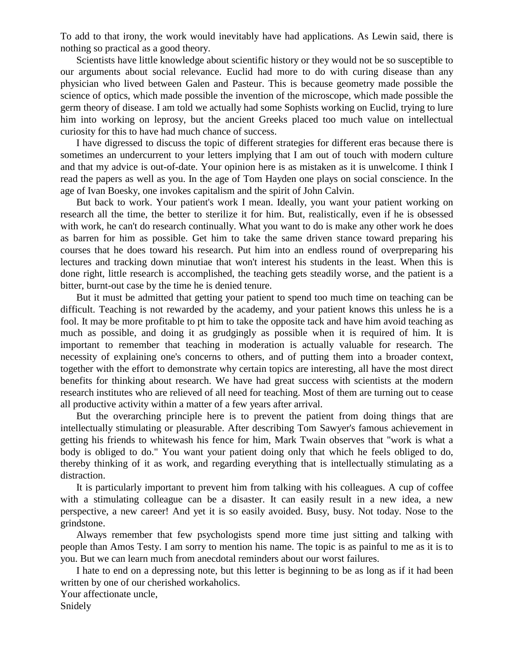To add to that irony, the work would inevitably have had applications. As Lewin said, there is nothing so practical as a good theory.

Scientists have little knowledge about scientific history or they would not be so susceptible to our arguments about social relevance. Euclid had more to do with curing disease than any physician who lived between Galen and Pasteur. This is because geometry made possible the science of optics, which made possible the invention of the microscope, which made possible the germ theory of disease. I am told we actually had some Sophists working on Euclid, trying to lure him into working on leprosy, but the ancient Greeks placed too much value on intellectual curiosity for this to have had much chance of success.

I have digressed to discuss the topic of different strategies for different eras because there is sometimes an undercurrent to your letters implying that I am out of touch with modern culture and that my advice is out-of-date. Your opinion here is as mistaken as it is unwelcome. I think I read the papers as well as you. In the age of Tom Hayden one plays on social conscience. In the age of Ivan Boesky, one invokes capitalism and the spirit of John Calvin.

But back to work. Your patient's work I mean. Ideally, you want your patient working on research all the time, the better to sterilize it for him. But, realistically, even if he is obsessed with work, he can't do research continually. What you want to do is make any other work he does as barren for him as possible. Get him to take the same driven stance toward preparing his courses that he does toward his research. Put him into an endless round of overpreparing his lectures and tracking down minutiae that won't interest his students in the least. When this is done right, little research is accomplished, the teaching gets steadily worse, and the patient is a bitter, burnt-out case by the time he is denied tenure.

But it must be admitted that getting your patient to spend too much time on teaching can be difficult. Teaching is not rewarded by the academy, and your patient knows this unless he is a fool. It may be more profitable to pt him to take the opposite tack and have him avoid teaching as much as possible, and doing it as grudgingly as possible when it is required of him. It is important to remember that teaching in moderation is actually valuable for research. The necessity of explaining one's concerns to others, and of putting them into a broader context, together with the effort to demonstrate why certain topics are interesting, all have the most direct benefits for thinking about research. We have had great success with scientists at the modern research institutes who are relieved of all need for teaching. Most of them are turning out to cease all productive activity within a matter of a few years after arrival.

But the overarching principle here is to prevent the patient from doing things that are intellectually stimulating or pleasurable. After describing Tom Sawyer's famous achievement in getting his friends to whitewash his fence for him, Mark Twain observes that "work is what a body is obliged to do." You want your patient doing only that which he feels obliged to do, thereby thinking of it as work, and regarding everything that is intellectually stimulating as a distraction.

It is particularly important to prevent him from talking with his colleagues. A cup of coffee with a stimulating colleague can be a disaster. It can easily result in a new idea, a new perspective, a new career! And yet it is so easily avoided. Busy, busy. Not today. Nose to the grindstone.

Always remember that few psychologists spend more time just sitting and talking with people than Amos Testy. I am sorry to mention his name. The topic is as painful to me as it is to you. But we can learn much from anecdotal reminders about our worst failures.

I hate to end on a depressing note, but this letter is beginning to be as long as if it had been written by one of our cherished workaholics.

Your affectionate uncle, Snidely